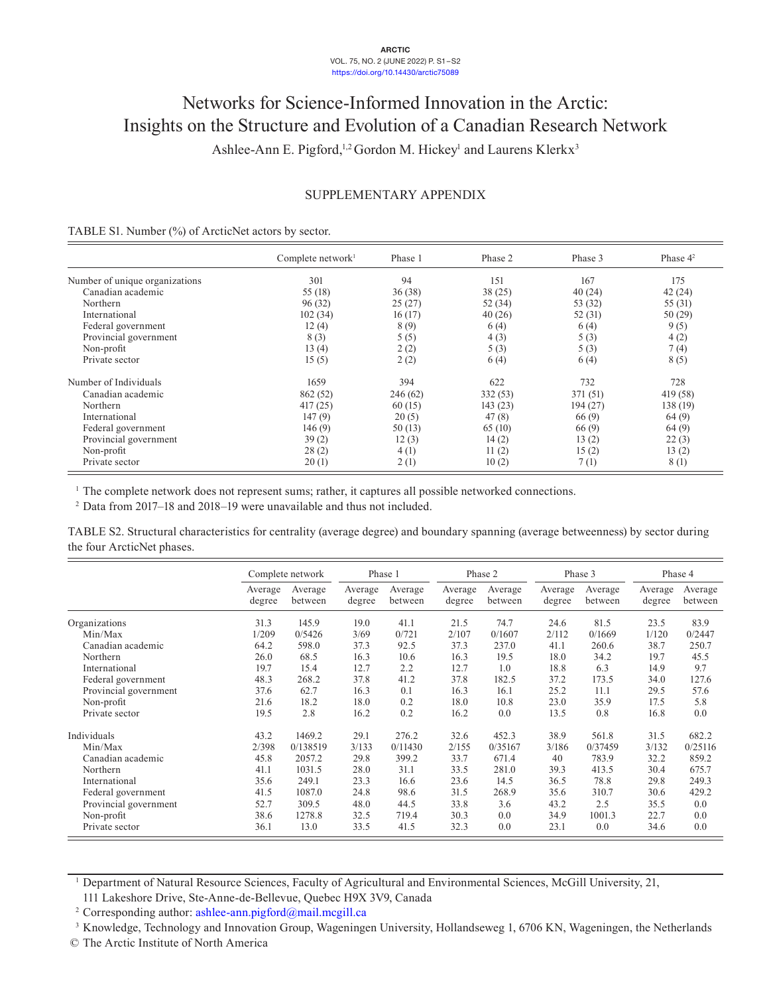#### **ARCTIC** VOL. 75, NO. 2 (JUNE 2022) P. S1–S2 <https://doi.org/10.14430/arctic75089>

# Networks for Science-Informed Innovation in the Arctic: Insights on the Structure and Evolution of a Canadian Research Network Ashlee-Ann E. Pigford,<sup>1,2</sup> Gordon M. Hickey<sup>1</sup> and Laurens Klerkx<sup>3</sup>

# SUPPLEMENTARY APPENDIX

### TABLE S1. Number (%) of ArcticNet actors by sector.

|                                | Complete network $l$ | Phase 1  | Phase 2 | Phase 3  | Phase $4^2$ |
|--------------------------------|----------------------|----------|---------|----------|-------------|
| Number of unique organizations | 301                  | 94       | 151     | 167      | 175         |
| Canadian academic              | 55 (18)              | 36(38)   | 38(25)  | 40(24)   | 42(24)      |
| Northern                       | 96(32)               | 25(27)   | 52 (34) | 53 (32)  | 55 (31)     |
| International                  | 102(34)              | 16(17)   | 40(26)  | 52(31)   | 50(29)      |
| Federal government             | 12(4)                | 8(9)     | 6(4)    | 6(4)     | 9(5)        |
| Provincial government          | 8(3)                 | 5(5)     | 4(3)    | 5(3)     | 4(2)        |
| Non-profit                     | 13(4)                | 2(2)     | 5(3)    | 5(3)     | 7(4)        |
| Private sector                 | 15(5)                | 2(2)     | 6(4)    | 6(4)     | 8(5)        |
| Number of Individuals          | 1659                 | 394      | 622     | 732      | 728         |
| Canadian academic              | 862 (52)             | 246 (62) | 332(53) | 371 (51) | 419 (58)    |
| Northern                       | 417(25)              | 60(15)   | 143(23) | 194(27)  | 138 (19)    |
| International                  | 147(9)               | 20(5)    | 47(8)   | 66(9)    | 64(9)       |
| Federal government             | 146(9)               | 50(13)   | 65(10)  | 66 (9)   | 64 (9)      |
| Provincial government          | 39(2)                | 12(3)    | 14(2)   | 13(2)    | 22(3)       |
| Non-profit                     | 28(2)                | 4(1)     | 11(2)   | 15(2)    | 13(2)       |
| Private sector                 | 20(1)                | 2(1)     | 10(2)   | 7(1)     | 8(1)        |

<sup>1</sup> The complete network does not represent sums; rather, it captures all possible networked connections.

<sup>2</sup> Data from 2017–18 and 2018–19 were unavailable and thus not included.

TABLE S2. Structural characteristics for centrality (average degree) and boundary spanning (average betweenness) by sector during the four ArcticNet phases.

|                       |                   | Complete network   |                   | Phase 1            |                   | Phase 2            |                   | Phase 3            |                   | Phase 4            |
|-----------------------|-------------------|--------------------|-------------------|--------------------|-------------------|--------------------|-------------------|--------------------|-------------------|--------------------|
|                       | Average<br>degree | Average<br>between | Average<br>degree | Average<br>between | Average<br>degree | Average<br>between | Average<br>degree | Average<br>between | Average<br>degree | Average<br>between |
| Organizations         | 31.3              | 145.9              | 19.0              | 41.1               | 21.5              | 74.7               | 24.6              | 81.5               | 23.5              | 83.9               |
| Min/Max               | 1/209             | 0/5426             | 3/69              | 0/721              | 2/107             | 0/1607             | 2/112             | 0/1669             | 1/120             | 0/2447             |
| Canadian academic     | 64.2              | 598.0              | 37.3              | 92.5               | 37.3              | 237.0              | 41.1              | 260.6              | 38.7              | 250.7              |
| Northern              | 26.0              | 68.5               | 16.3              | 10.6               | 16.3              | 19.5               | 18.0              | 34.2               | 19.7              | 45.5               |
| International         | 19.7              | 15.4               | 12.7              | 2.2                | 12.7              | 1.0                | 18.8              | 6.3                | 14.9              | 9.7                |
| Federal government    | 48.3              | 268.2              | 37.8              | 41.2               | 37.8              | 182.5              | 37.2              | 173.5              | 34.0              | 127.6              |
| Provincial government | 37.6              | 62.7               | 16.3              | 0.1                | 16.3              | 16.1               | 25.2              | 11.1               | 29.5              | 57.6               |
| Non-profit            | 21.6              | 18.2               | 18.0              | 0.2                | 18.0              | 10.8               | 23.0              | 35.9               | 17.5              | 5.8                |
| Private sector        | 19.5              | 2.8                | 16.2              | 0.2                | 16.2              | 0.0                | 13.5              | 0.8                | 16.8              | 0.0                |
| Individuals           | 43.2              | 1469.2             | 29.1              | 276.2              | 32.6              | 452.3              | 38.9              | 561.8              | 31.5              | 682.2              |
| Min/Max               | 2/398             | 0/138519           | 3/133             | 0/11430            | 2/155             | 0/35167            | 3/186             | 0/37459            | 3/132             | 0/25116            |
| Canadian academic     | 45.8              | 2057.2             | 29.8              | 399.2              | 33.7              | 671.4              | 40                | 783.9              | 32.2              | 859.2              |
| Northern              | 41.1              | 1031.5             | 28.0              | 31.1               | 33.5              | 281.0              | 39.3              | 413.5              | 30.4              | 675.7              |
| International         | 35.6              | 249.1              | 23.3              | 16.6               | 23.6              | 14.5               | 36.5              | 78.8               | 29.8              | 249.3              |
| Federal government    | 41.5              | 1087.0             | 24.8              | 98.6               | 31.5              | 268.9              | 35.6              | 310.7              | 30.6              | 429.2              |
| Provincial government | 52.7              | 309.5              | 48.0              | 44.5               | 33.8              | 3.6                | 43.2              | 2.5                | 35.5              | 0.0                |
| Non-profit            | 38.6              | 1278.8             | 32.5              | 719.4              | 30.3              | 0.0                | 34.9              | 1001.3             | 22.7              | 0.0                |
| Private sector        | 36.1              | 13.0               | 33.5              | 41.5               | 32.3              | 0.0                | 23.1              | 0.0                | 34.6              | 0.0                |

<sup>1</sup> Department of Natural Resource Sciences, Faculty of Agricultural and Environmental Sciences, McGill University, 21, 111 Lakeshore Drive, Ste-Anne-de-Bellevue, Quebec H9X 3V9, Canada

<sup>2</sup> Corresponding author: [ashlee-ann.pigford@mail.mcgill.ca](mailto:ashlee-ann.pigford@mail.mcgill.ca)

<sup>3</sup> Knowledge, Technology and Innovation Group, Wageningen University, Hollandseweg 1, 6706 KN, Wageningen, the Netherlands

© The Arctic Institute of North America